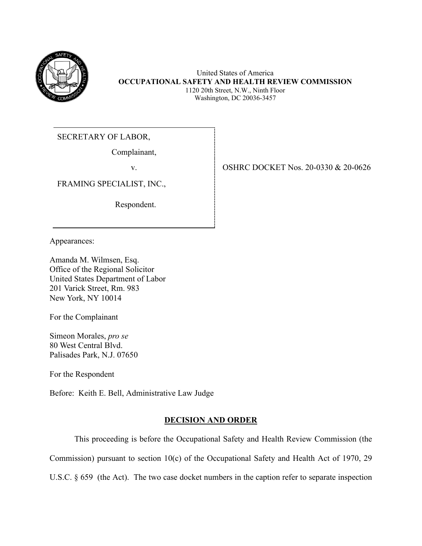

United States of America **OCCUPATIONAL SAFETY AND HEALTH REVIEW COMMISSION** 1120 20th Street, N.W., Ninth Floor Washington, DC 20036-3457

SECRETARY OF LABOR,

Complainant,

FRAMING SPECIALIST, INC.,

Respondent.

v. SHRC DOCKET Nos. 20-0330 & 20-0626

Appearances:

Amanda M. Wilmsen, Esq. Office of the Regional Solicitor United States Department of Labor 201 Varick Street, Rm. 983 New York, NY 10014

For the Complainant

Simeon Morales, *pro se*  80 West Central Blvd. Palisades Park, N.J. 07650

For the Respondent

Before: Keith E. Bell, Administrative Law Judge

# **DECISION AND ORDER**

This proceeding is before the Occupational Safety and Health Review Commission (the Commission) pursuant to section 10(c) of the Occupational Safety and Health Act of 1970, 29 U.S.C. § 659 (the Act). The two case docket numbers in the caption refer to separate inspection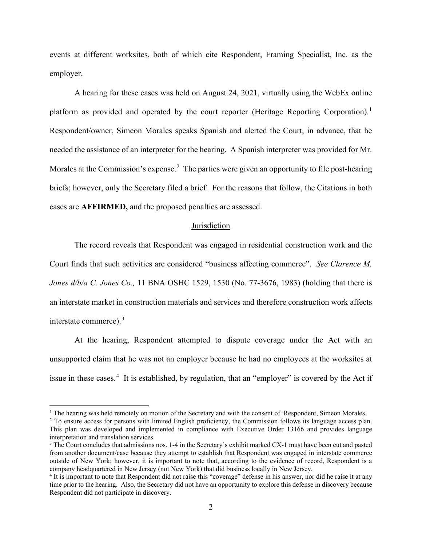events at different worksites, both of which cite Respondent, Framing Specialist, Inc. as the employer.

A hearing for these cases was held on August 24, 2021, virtually using the WebEx online platform as provided and operated by the court reporter (Heritage Reporting Corporation).<sup>1</sup> Respondent/owner, Simeon Morales speaks Spanish and alerted the Court, in advance, that he needed the assistance of an interpreter for the hearing. A Spanish interpreter was provided for Mr. Morales at the Commission's expense.<sup>2</sup> The parties were given an opportunity to file post-hearing briefs; however, only the Secretary filed a brief. For the reasons that follow, the Citations in both cases are **AFFIRMED,** and the proposed penalties are assessed.

### **Jurisdiction**

The record reveals that Respondent was engaged in residential construction work and the Court finds that such activities are considered "business affecting commerce". *See Clarence M. Jones d/b/a C. Jones Co.,* 11 BNA OSHC 1529, 1530 (No. 77-3676, 1983) (holding that there is an interstate market in construction materials and services and therefore construction work affects interstate commerce).<sup>3</sup>

At the hearing, Respondent attempted to dispute coverage under the Act with an unsupported claim that he was not an employer because he had no employees at the worksites at issue in these cases.<sup>4</sup> It is established, by regulation, that an "employer" is covered by the Act if

<sup>&</sup>lt;sup>1</sup> The hearing was held remotely on motion of the Secretary and with the consent of Respondent, Simeon Morales.

<sup>&</sup>lt;sup>2</sup> To ensure access for persons with limited English proficiency, the Commission follows its language access plan. This plan was developed and implemented in compliance with Executive Order 13166 and provides language interpretation and translation services.<br><sup>3</sup> The Court concludes that admissions nos. 1-4 in the Secretary's exhibit marked CX-1 must have been cut and pasted

from another document/case because they attempt to establish that Respondent was engaged in interstate commerce outside of New York; however, it is important to note that, according to the evidence of record, Respondent is a company headquartered in New Jersey (not New York) that did business locally in New Jersey.

<sup>4</sup> It is important to note that Respondent did not raise this "coverage" defense in his answer, nor did he raise it at any time prior to the hearing. Also, the Secretary did not have an opportunity to explore this defense in discovery because Respondent did not participate in discovery.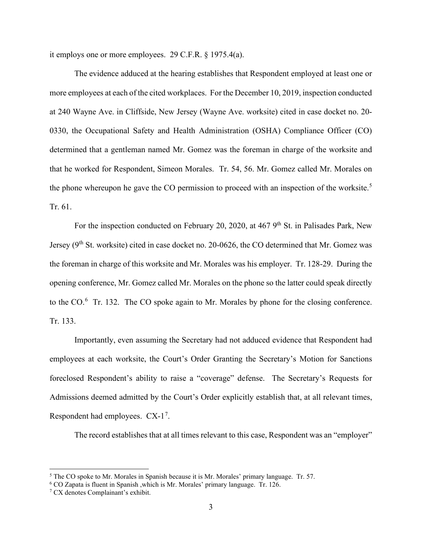it employs one or more employees. 29 C.F.R. § 1975.4(a).

The evidence adduced at the hearing establishes that Respondent employed at least one or more employees at each of the cited workplaces. For the December 10, 2019, inspection conducted at 240 Wayne Ave. in Cliffside, New Jersey (Wayne Ave. worksite) cited in case docket no. 20- 0330, the Occupational Safety and Health Administration (OSHA) Compliance Officer (CO) determined that a gentleman named Mr. Gomez was the foreman in charge of the worksite and that he worked for Respondent, Simeon Morales. Tr. 54, 56. Mr. Gomez called Mr. Morales on the phone whereupon he gave the CO permission to proceed with an inspection of the worksite.<sup>5</sup> Tr. 61.

For the inspection conducted on February 20, 2020, at 467 9<sup>th</sup> St. in Palisades Park, New Jersey (9<sup>th</sup> St. worksite) cited in case docket no. 20-0626, the CO determined that Mr. Gomez was the foreman in charge of this worksite and Mr. Morales was his employer. Tr. 128-29. During the opening conference, Mr. Gomez called Mr. Morales on the phone so the latter could speak directly to the  $CO<sup>6</sup>$  Tr. 132. The CO spoke again to Mr. Morales by phone for the closing conference. Tr. 133.

Importantly, even assuming the Secretary had not adduced evidence that Respondent had employees at each worksite, the Court's Order Granting the Secretary's Motion for Sanctions foreclosed Respondent's ability to raise a "coverage" defense. The Secretary's Requests for Admissions deemed admitted by the Court's Order explicitly establish that, at all relevant times, Respondent had employees.  $CX-1<sup>7</sup>$ .

The record establishes that at all times relevant to this case, Respondent was an "employer"

 $<sup>5</sup>$  The CO spoke to Mr. Morales in Spanish because it is Mr. Morales' primary language. Tr. 57.</sup>

<sup>6</sup> CO Zapata is fluent in Spanish ,which is Mr. Morales' primary language. Tr. 126.

<sup>7</sup> CX denotes Complainant's exhibit.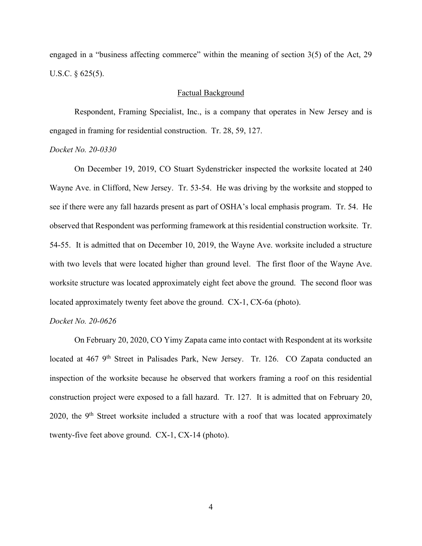engaged in a "business affecting commerce" within the meaning of section 3(5) of the Act, 29 U.S.C. § 625(5).

#### Factual Background

Respondent, Framing Specialist, Inc., is a company that operates in New Jersey and is engaged in framing for residential construction. Tr. 28, 59, 127.

### *Docket No. 20-0330*

On December 19, 2019, CO Stuart Sydenstricker inspected the worksite located at 240 Wayne Ave. in Clifford, New Jersey. Tr. 53-54. He was driving by the worksite and stopped to see if there were any fall hazards present as part of OSHA's local emphasis program. Tr. 54. He observed that Respondent was performing framework at this residential construction worksite. Tr. 54-55. It is admitted that on December 10, 2019, the Wayne Ave. worksite included a structure with two levels that were located higher than ground level. The first floor of the Wayne Ave. worksite structure was located approximately eight feet above the ground. The second floor was located approximately twenty feet above the ground. CX-1, CX-6a (photo).

### *Docket No. 20-0626*

On February 20, 2020, CO Yimy Zapata came into contact with Respondent at its worksite located at 467 9<sup>th</sup> Street in Palisades Park, New Jersey. Tr. 126. CO Zapata conducted an inspection of the worksite because he observed that workers framing a roof on this residential construction project were exposed to a fall hazard. Tr. 127. It is admitted that on February 20, 2020, the  $9<sup>th</sup>$  Street worksite included a structure with a roof that was located approximately twenty-five feet above ground. CX-1, CX-14 (photo).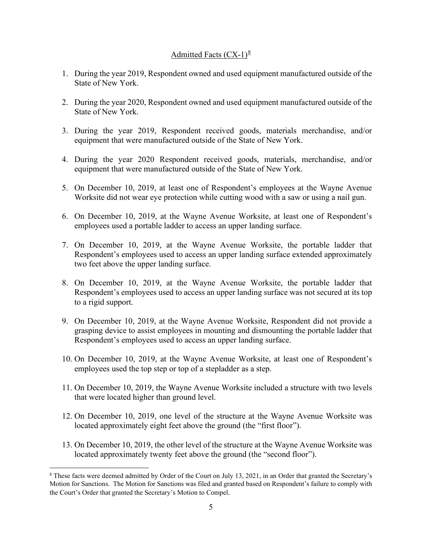# Admitted Facts  $(CX-1)^8$

- 1. During the year 2019, Respondent owned and used equipment manufactured outside of the State of New York.
- 2. During the year 2020, Respondent owned and used equipment manufactured outside of the State of New York.
- 3. During the year 2019, Respondent received goods, materials merchandise, and/or equipment that were manufactured outside of the State of New York.
- 4. During the year 2020 Respondent received goods, materials, merchandise, and/or equipment that were manufactured outside of the State of New York.
- 5. On December 10, 2019, at least one of Respondent's employees at the Wayne Avenue Worksite did not wear eye protection while cutting wood with a saw or using a nail gun.
- 6. On December 10, 2019, at the Wayne Avenue Worksite, at least one of Respondent's employees used a portable ladder to access an upper landing surface.
- 7. On December 10, 2019, at the Wayne Avenue Worksite, the portable ladder that Respondent's employees used to access an upper landing surface extended approximately two feet above the upper landing surface.
- 8. On December 10, 2019, at the Wayne Avenue Worksite, the portable ladder that Respondent's employees used to access an upper landing surface was not secured at its top to a rigid support.
- 9. On December 10, 2019, at the Wayne Avenue Worksite, Respondent did not provide a grasping device to assist employees in mounting and dismounting the portable ladder that Respondent's employees used to access an upper landing surface.
- 10. On December 10, 2019, at the Wayne Avenue Worksite, at least one of Respondent's employees used the top step or top of a stepladder as a step.
- 11. On December 10, 2019, the Wayne Avenue Worksite included a structure with two levels that were located higher than ground level.
- 12. On December 10, 2019, one level of the structure at the Wayne Avenue Worksite was located approximately eight feet above the ground (the "first floor").
- 13. On December 10, 2019, the other level of the structure at the Wayne Avenue Worksite was located approximately twenty feet above the ground (the "second floor").

<sup>8</sup> These facts were deemed admitted by Order of the Court on July 13, 2021, in an Order that granted the Secretary's Motion for Sanctions. The Motion for Sanctions was filed and granted based on Respondent's failure to comply with the Court's Order that granted the Secretary's Motion to Compel.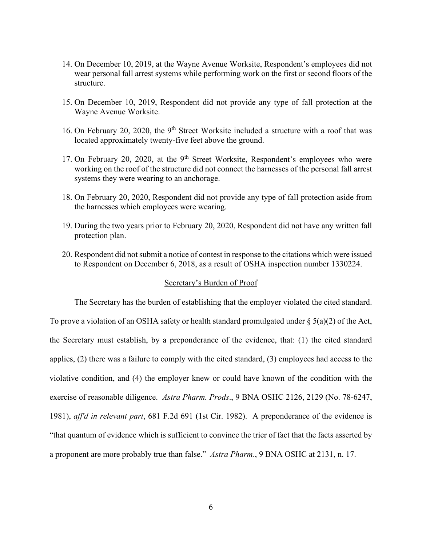- 14. On December 10, 2019, at the Wayne Avenue Worksite, Respondent's employees did not wear personal fall arrest systems while performing work on the first or second floors of the structure.
- 15. On December 10, 2019, Respondent did not provide any type of fall protection at the Wayne Avenue Worksite.
- 16. On February 20, 2020, the 9<sup>th</sup> Street Worksite included a structure with a roof that was located approximately twenty-five feet above the ground.
- 17. On February 20, 2020, at the  $9<sup>th</sup>$  Street Worksite, Respondent's employees who were working on the roof of the structure did not connect the harnesses of the personal fall arrest systems they were wearing to an anchorage.
- 18. On February 20, 2020, Respondent did not provide any type of fall protection aside from the harnesses which employees were wearing.
- 19. During the two years prior to February 20, 2020, Respondent did not have any written fall protection plan.
- 20. Respondent did not submit a notice of contest in response to the citations which were issued to Respondent on December 6, 2018, as a result of OSHA inspection number 1330224.

# Secretary's Burden of Proof

The Secretary has the burden of establishing that the employer violated the cited standard. To prove a violation of an OSHA safety or health standard promulgated under  $\S$  5(a)(2) of the Act, the Secretary must establish, by a preponderance of the evidence, that: (1) the cited standard applies, (2) there was a failure to comply with the cited standard, (3) employees had access to the violative condition, and (4) the employer knew or could have known of the condition with the exercise of reasonable diligence. *Astra Pharm. Prods*., 9 BNA OSHC 2126, 2129 (No. 78-6247, 1981), *aff'd in relevant part*, 681 F.2d 691 (1st Cir. 1982). A preponderance of the evidence is "that quantum of evidence which is sufficient to convince the trier of fact that the facts asserted by a proponent are more probably true than false." *Astra Pharm*., 9 BNA OSHC at 2131, n. 17.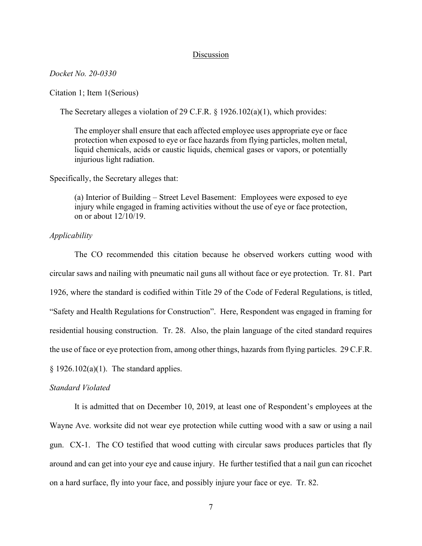### Discussion

### *Docket No. 20-0330*

### Citation 1; Item 1(Serious)

The Secretary alleges a violation of 29 C.F.R. § 1926.102(a)(1), which provides:

The employer shall ensure that each affected employee uses appropriate eye or face protection when exposed to eye or face hazards from flying particles, molten metal, liquid chemicals, acids or caustic liquids, chemical gases or vapors, or potentially injurious light radiation.

Specifically, the Secretary alleges that:

(a) Interior of Building – Street Level Basement: Employees were exposed to eye injury while engaged in framing activities without the use of eye or face protection, on or about 12/10/19.

## *Applicability*

The CO recommended this citation because he observed workers cutting wood with circular saws and nailing with pneumatic nail guns all without face or eye protection. Tr. 81. Part 1926, where the standard is codified within Title 29 of the Code of Federal Regulations, is titled, "Safety and Health Regulations for Construction". Here, Respondent was engaged in framing for residential housing construction. Tr. 28. Also, the plain language of the cited standard requires the use of face or eye protection from, among other things, hazards from flying particles. 29 C.F.R.  $§ 1926.102(a)(1)$ . The standard applies.

#### *Standard Violated*

It is admitted that on December 10, 2019, at least one of Respondent's employees at the Wayne Ave. worksite did not wear eye protection while cutting wood with a saw or using a nail gun. CX-1. The CO testified that wood cutting with circular saws produces particles that fly around and can get into your eye and cause injury. He further testified that a nail gun can ricochet on a hard surface, fly into your face, and possibly injure your face or eye. Tr. 82.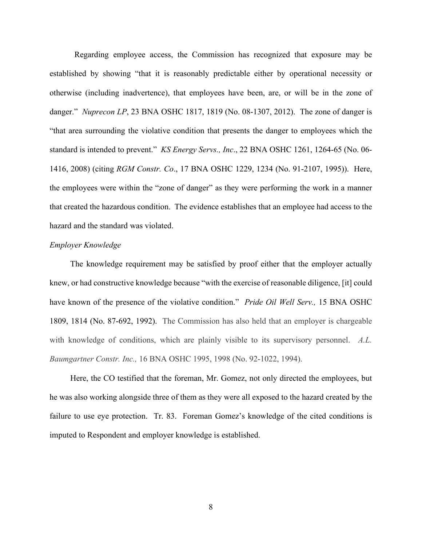Regarding employee access, the Commission has recognized that exposure may be established by showing "that it is reasonably predictable either by operational necessity or otherwise (including inadvertence), that employees have been, are, or will be in the zone of danger." *Nuprecon LP*, 23 BNA OSHC 1817, 1819 (No. 08-1307, 2012). The zone of danger is "that area surrounding the violative condition that presents the danger to employees which the standard is intended to prevent." *KS Energy Servs., Inc*., 22 BNA OSHC 1261, 1264-65 (No. 06- 1416, 2008) (citing *RGM Constr. Co*., 17 BNA OSHC 1229, 1234 (No. 91-2107, 1995)). Here, the employees were within the "zone of danger" as they were performing the work in a manner that created the hazardous condition. The evidence establishes that an employee had access to the hazard and the standard was violated.

### *Employer Knowledge*

 The knowledge requirement may be satisfied by proof either that the employer actually knew, or had constructive knowledge because "with the exercise of reasonable diligence, [it] could have known of the presence of the violative condition." *Pride Oil Well Serv.,* 15 BNA OSHC 1809, 1814 (No. 87-692, 1992). The Commission has also held that an employer is chargeable with knowledge of conditions, which are plainly visible to its supervisory personnel. *A.L. Baumgartner Constr. Inc.,* 16 BNA OSHC 1995, 1998 (No. 92-1022, 1994).

 Here, the CO testified that the foreman, Mr. Gomez, not only directed the employees, but he was also working alongside three of them as they were all exposed to the hazard created by the failure to use eye protection. Tr. 83. Foreman Gomez's knowledge of the cited conditions is imputed to Respondent and employer knowledge is established.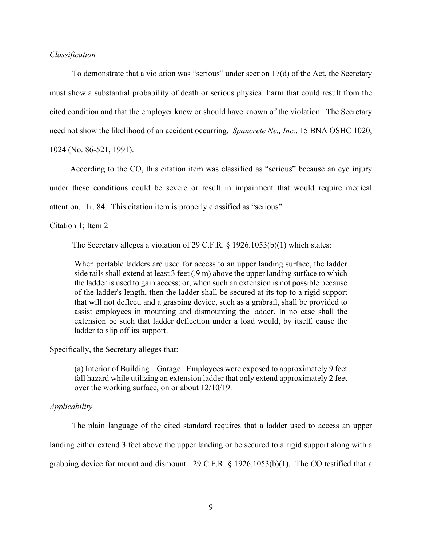## *Classification*

 To demonstrate that a violation was "serious" under section 17(d) of the Act, the Secretary must show a substantial probability of death or serious physical harm that could result from the cited condition and that the employer knew or should have known of the violation. The Secretary need not show the likelihood of an accident occurring. *Spancrete Ne., Inc.*, 15 BNA OSHC 1020, 1024 (No. 86-521, 1991).

 According to the CO, this citation item was classified as "serious" because an eye injury under these conditions could be severe or result in impairment that would require medical attention. Tr. 84. This citation item is properly classified as "serious".

#### Citation 1; Item 2

The Secretary alleges a violation of 29 C.F.R. § 1926.1053(b)(1) which states:

When portable ladders are used for access to an upper landing surface, the ladder side rails shall extend at least 3 feet (.9 m) above the upper landing surface to which the ladder is used to gain access; or, when such an extension is not possible because of the ladder's length, then the ladder shall be secured at its top to a rigid support that will not deflect, and a grasping device, such as a grabrail, shall be provided to assist employees in mounting and dismounting the ladder. In no case shall the extension be such that ladder deflection under a load would, by itself, cause the ladder to slip off its support.

Specifically, the Secretary alleges that:

(a) Interior of Building – Garage: Employees were exposed to approximately 9 feet fall hazard while utilizing an extension ladder that only extend approximately 2 feet over the working surface, on or about 12/10/19.

## *Applicability*

The plain language of the cited standard requires that a ladder used to access an upper landing either extend 3 feet above the upper landing or be secured to a rigid support along with a grabbing device for mount and dismount. 29 C.F.R. § 1926.1053(b)(1). The CO testified that a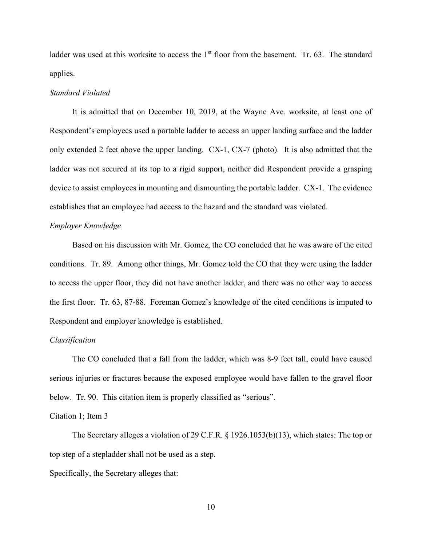ladder was used at this worksite to access the 1<sup>st</sup> floor from the basement. Tr. 63. The standard applies.

# *Standard Violated*

 It is admitted that on December 10, 2019, at the Wayne Ave. worksite, at least one of Respondent's employees used a portable ladder to access an upper landing surface and the ladder only extended 2 feet above the upper landing. CX-1, CX-7 (photo). It is also admitted that the ladder was not secured at its top to a rigid support, neither did Respondent provide a grasping device to assist employees in mounting and dismounting the portable ladder. CX-1. The evidence establishes that an employee had access to the hazard and the standard was violated.

## *Employer Knowledge*

 Based on his discussion with Mr. Gomez, the CO concluded that he was aware of the cited conditions. Tr. 89. Among other things, Mr. Gomez told the CO that they were using the ladder to access the upper floor, they did not have another ladder, and there was no other way to access the first floor. Tr. 63, 87-88. Foreman Gomez's knowledge of the cited conditions is imputed to Respondent and employer knowledge is established.

## *Classification*

 The CO concluded that a fall from the ladder, which was 8-9 feet tall, could have caused serious injuries or fractures because the exposed employee would have fallen to the gravel floor below. Tr. 90. This citation item is properly classified as "serious".

## Citation 1; Item 3

 The Secretary alleges a violation of 29 C.F.R. § 1926.1053(b)(13), which states: The top or top step of a stepladder shall not be used as a step.

Specifically, the Secretary alleges that: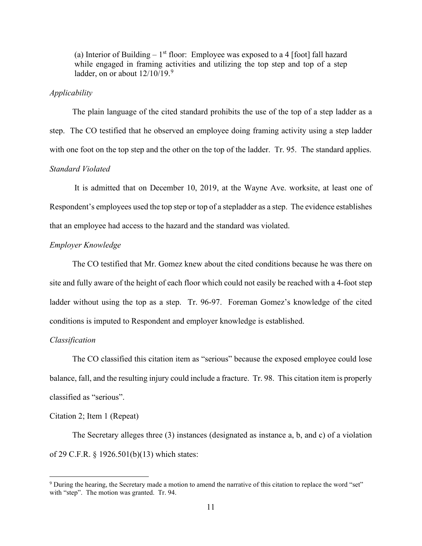(a) Interior of Building  $-1<sup>st</sup>$  floor: Employee was exposed to a 4 [foot] fall hazard while engaged in framing activities and utilizing the top step and top of a step ladder, on or about  $12/10/19$ .<sup>9</sup>

### *Applicability*

 The plain language of the cited standard prohibits the use of the top of a step ladder as a step. The CO testified that he observed an employee doing framing activity using a step ladder with one foot on the top step and the other on the top of the ladder. Tr. 95. The standard applies. *Standard Violated* 

 It is admitted that on December 10, 2019, at the Wayne Ave. worksite, at least one of Respondent's employees used the top step or top of a stepladder as a step. The evidence establishes that an employee had access to the hazard and the standard was violated.

## *Employer Knowledge*

 The CO testified that Mr. Gomez knew about the cited conditions because he was there on site and fully aware of the height of each floor which could not easily be reached with a 4-foot step ladder without using the top as a step. Tr. 96-97. Foreman Gomez's knowledge of the cited conditions is imputed to Respondent and employer knowledge is established.

### *Classification*

 The CO classified this citation item as "serious" because the exposed employee could lose balance, fall, and the resulting injury could include a fracture. Tr. 98. This citation item is properly classified as "serious".

### Citation 2; Item 1 (Repeat)

 The Secretary alleges three (3) instances (designated as instance a, b, and c) of a violation of 29 C.F.R. § 1926.501(b)(13) which states:

<sup>&</sup>lt;sup>9</sup> During the hearing, the Secretary made a motion to amend the narrative of this citation to replace the word "set" with "step". The motion was granted. Tr. 94.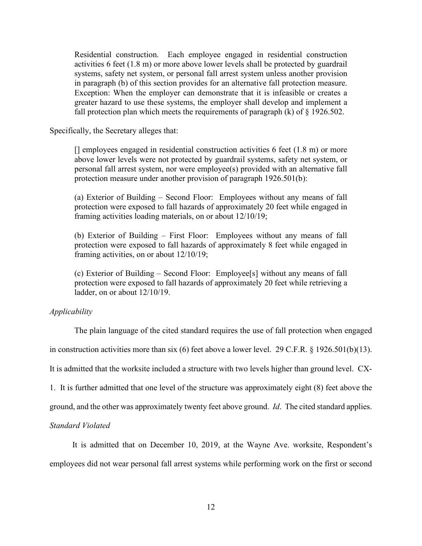Residential construction. Each employee engaged in residential construction activities 6 feet (1.8 m) or more above lower levels shall be protected by guardrail systems, safety net system, or personal fall arrest system unless another provision in paragraph (b) of this section provides for an alternative fall protection measure. Exception: When the employer can demonstrate that it is infeasible or creates a greater hazard to use these systems, the employer shall develop and implement a fall protection plan which meets the requirements of paragraph  $(k)$  of  $\S$  1926.502.

Specifically, the Secretary alleges that:

 $\Box$  employees engaged in residential construction activities 6 feet (1.8 m) or more above lower levels were not protected by guardrail systems, safety net system, or personal fall arrest system, nor were employee(s) provided with an alternative fall protection measure under another provision of paragraph 1926.501(b):

(a) Exterior of Building – Second Floor: Employees without any means of fall protection were exposed to fall hazards of approximately 20 feet while engaged in framing activities loading materials, on or about 12/10/19;

(b) Exterior of Building – First Floor: Employees without any means of fall protection were exposed to fall hazards of approximately 8 feet while engaged in framing activities, on or about 12/10/19;

(c) Exterior of Building – Second Floor: Employee[s] without any means of fall protection were exposed to fall hazards of approximately 20 feet while retrieving a ladder, on or about 12/10/19.

# *Applicability*

The plain language of the cited standard requires the use of fall protection when engaged

in construction activities more than six (6) feet above a lower level. 29 C.F.R. § 1926.501(b)(13).

It is admitted that the worksite included a structure with two levels higher than ground level. CX-

1. It is further admitted that one level of the structure was approximately eight (8) feet above the

ground, and the other was approximately twenty feet above ground. *Id*. The cited standard applies.

# *Standard Violated*

 It is admitted that on December 10, 2019, at the Wayne Ave. worksite, Respondent's employees did not wear personal fall arrest systems while performing work on the first or second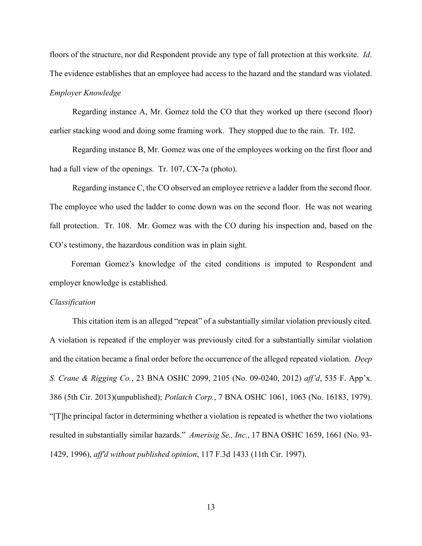floors of the structure, nor did Respondent provide any type of fall protection at this worksite. *Id*. The evidence establishes that an employee had access to the hazard and the standard was violated. *Employer Knowledge* 

 Regarding instance A, Mr. Gomez told the CO that they worked up there (second floor) earlier stacking wood and doing some framing work. They stopped due to the rain. Tr. 102.

 Regarding instance B, Mr. Gomez was one of the employees working on the first floor and had a full view of the openings. Tr. 107, CX-7a (photo).

 Regarding instance C, the CO observed an employee retrieve a ladder from the second floor. The employee who used the ladder to come down was on the second floor. He was not wearing fall protection. Tr. 108. Mr. Gomez was with the CO during his inspection and, based on the CO's testimony, the hazardous condition was in plain sight.

Foreman Gomez's knowledge of the cited conditions is imputed to Respondent and employer knowledge is established.

#### *Classification*

This citation item is an alleged "repeat" of a substantially similar violation previously cited. A violation is repeated if the employer was previously cited for a substantially similar violation and the citation became a final order before the occurrence of the alleged repeated violation. *Deep S. Crane & Rigging Co.*, 23 BNA OSHC 2099, 2105 (No. 09-0240, 2012) *aff'd*, 535 F. App'x. 386 (5th Cir. 2013)(unpublished); *Potlatch Corp.*, 7 BNA OSHC 1061, 1063 (No. 16183, 1979). "[T]he principal factor in determining whether a violation is repeated is whether the two violations resulted in substantially similar hazards." *Amerisig Se., Inc.*, 17 BNA OSHC 1659, 1661 (No. 93- 1429, 1996), *aff'd without published opinion*, 117 F.3d 1433 (11th Cir. 1997).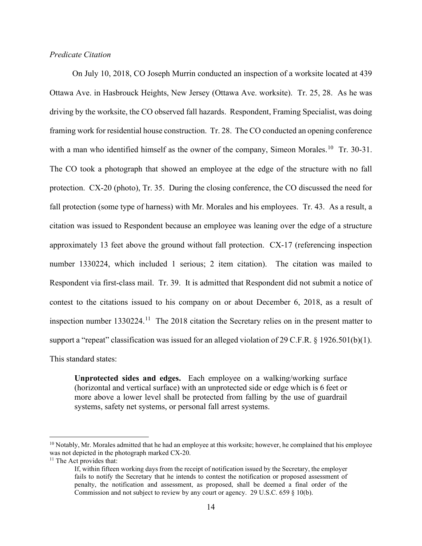## *Predicate Citation*

 On July 10, 2018, CO Joseph Murrin conducted an inspection of a worksite located at 439 Ottawa Ave. in Hasbrouck Heights, New Jersey (Ottawa Ave. worksite). Tr. 25, 28. As he was driving by the worksite, the CO observed fall hazards. Respondent, Framing Specialist, was doing framing work for residential house construction. Tr. 28. The CO conducted an opening conference with a man who identified himself as the owner of the company, Simeon Morales.<sup>10</sup> Tr. 30-31. The CO took a photograph that showed an employee at the edge of the structure with no fall protection. CX-20 (photo), Tr. 35. During the closing conference, the CO discussed the need for fall protection (some type of harness) with Mr. Morales and his employees. Tr. 43. As a result, a citation was issued to Respondent because an employee was leaning over the edge of a structure approximately 13 feet above the ground without fall protection. CX-17 (referencing inspection number 1330224, which included 1 serious; 2 item citation). The citation was mailed to Respondent via first-class mail. Tr. 39. It is admitted that Respondent did not submit a notice of contest to the citations issued to his company on or about December 6, 2018, as a result of inspection number  $1330224$ .<sup>11</sup> The 2018 citation the Secretary relies on in the present matter to support a "repeat" classification was issued for an alleged violation of 29 C.F.R. § 1926.501(b)(1). This standard states:

**Unprotected sides and edges.** Each employee on a walking/working surface (horizontal and vertical surface) with an unprotected side or edge which is 6 feet or more above a lower level shall be protected from falling by the use of guardrail systems, safety net systems, or personal fall arrest systems.

 $10$  Notably, Mr. Morales admitted that he had an employee at this worksite; however, he complained that his employee was not depicted in the photograph marked CX-20.<br><sup>11</sup> The Act provides that:

If, within fifteen working days from the receipt of notification issued by the Secretary, the employer fails to notify the Secretary that he intends to contest the notification or proposed assessment of penalty, the notification and assessment, as proposed, shall be deemed a final order of the Commission and not subject to review by any court or agency. 29 U.S.C. 659 § 10(b).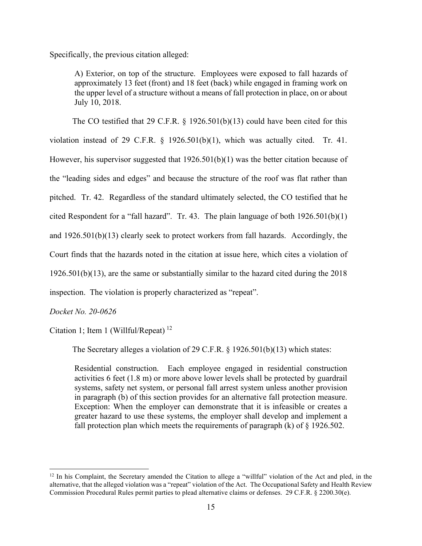Specifically, the previous citation alleged:

A) Exterior, on top of the structure. Employees were exposed to fall hazards of approximately 13 feet (front) and 18 feet (back) while engaged in framing work on the upper level of a structure without a means of fall protection in place, on or about July 10, 2018.

The CO testified that 29 C.F.R.  $\S$  1926.501(b)(13) could have been cited for this violation instead of 29 C.F.R. § 1926.501(b)(1), which was actually cited. Tr. 41. However, his supervisor suggested that 1926.501(b)(1) was the better citation because of the "leading sides and edges" and because the structure of the roof was flat rather than pitched. Tr. 42. Regardless of the standard ultimately selected, the CO testified that he cited Respondent for a "fall hazard". Tr. 43. The plain language of both 1926.501(b)(1) and 1926.501(b)(13) clearly seek to protect workers from fall hazards. Accordingly, the Court finds that the hazards noted in the citation at issue here, which cites a violation of 1926.501(b)(13), are the same or substantially similar to the hazard cited during the 2018 inspection. The violation is properly characterized as "repeat".

*Docket No. 20-0626* 

Citation 1; Item 1 (Willful/Repeat)  $^{12}$ 

The Secretary alleges a violation of 29 C.F.R. § 1926.501(b)(13) which states:

Residential construction. Each employee engaged in residential construction activities 6 feet (1.8 m) or more above lower levels shall be protected by guardrail systems, safety net system, or personal fall arrest system unless another provision in paragraph (b) of this section provides for an alternative fall protection measure. Exception: When the employer can demonstrate that it is infeasible or creates a greater hazard to use these systems, the employer shall develop and implement a fall protection plan which meets the requirements of paragraph  $(k)$  of  $\S$  1926.502.

 $12$  In his Complaint, the Secretary amended the Citation to allege a "willful" violation of the Act and pled, in the alternative, that the alleged violation was a "repeat" violation of the Act. The Occupational Safety and Health Review Commission Procedural Rules permit parties to plead alternative claims or defenses. 29 C.F.R. § 2200.30(e).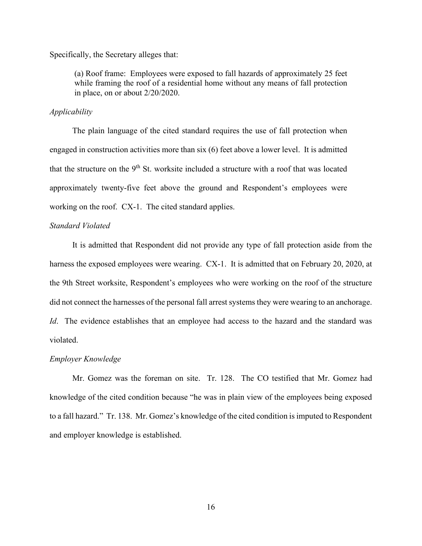Specifically, the Secretary alleges that:

(a) Roof frame: Employees were exposed to fall hazards of approximately 25 feet while framing the roof of a residential home without any means of fall protection in place, on or about 2/20/2020.

## *Applicability*

The plain language of the cited standard requires the use of fall protection when engaged in construction activities more than six (6) feet above a lower level. It is admitted that the structure on the  $9<sup>th</sup>$  St. worksite included a structure with a roof that was located approximately twenty-five feet above the ground and Respondent's employees were working on the roof. CX-1. The cited standard applies.

## *Standard Violated*

 It is admitted that Respondent did not provide any type of fall protection aside from the harness the exposed employees were wearing. CX-1. It is admitted that on February 20, 2020, at the 9th Street worksite, Respondent's employees who were working on the roof of the structure did not connect the harnesses of the personal fall arrest systems they were wearing to an anchorage. *Id*. The evidence establishes that an employee had access to the hazard and the standard was violated.

#### *Employer Knowledge*

 Mr. Gomez was the foreman on site. Tr. 128. The CO testified that Mr. Gomez had knowledge of the cited condition because "he was in plain view of the employees being exposed to a fall hazard." Tr. 138. Mr. Gomez's knowledge of the cited condition is imputed to Respondent and employer knowledge is established.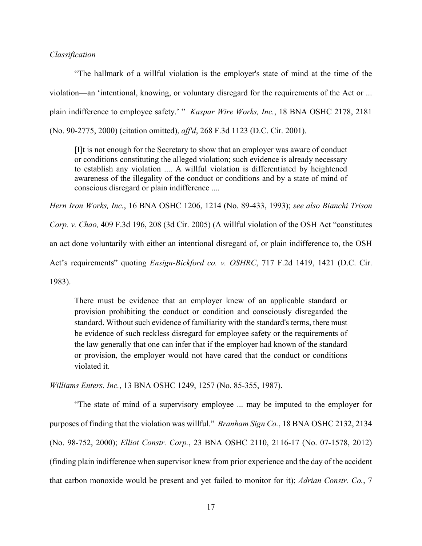## *Classification*

"The hallmark of a willful violation is the employer's state of mind at the time of the violation—an 'intentional, knowing, or voluntary disregard for the requirements of the Act or ... plain indifference to employee safety.' " *Kaspar Wire Works, Inc.*, 18 BNA OSHC 2178, 2181 (No. 90-2775, 2000) (citation omitted), *aff'd*, 268 F.3d 1123 (D.C. Cir. 2001).

[I]t is not enough for the Secretary to show that an employer was aware of conduct or conditions constituting the alleged violation; such evidence is already necessary to establish any violation .... A willful violation is differentiated by heightened awareness of the illegality of the conduct or conditions and by a state of mind of conscious disregard or plain indifference ....

*Hern Iron Works, Inc.*, 16 BNA OSHC 1206, 1214 (No. 89-433, 1993); *see also Bianchi Trison* 

*Corp. v. Chao,* 409 F.3d 196, 208 (3d Cir. 2005) (A willful violation of the OSH Act "constitutes

an act done voluntarily with either an intentional disregard of, or plain indifference to, the OSH

Act's requirements" quoting *Ensign-Bickford co. v. OSHRC*, 717 F.2d 1419, 1421 (D.C. Cir.

1983).

There must be evidence that an employer knew of an applicable standard or provision prohibiting the conduct or condition and consciously disregarded the standard. Without such evidence of familiarity with the standard's terms, there must be evidence of such reckless disregard for employee safety or the requirements of the law generally that one can infer that if the employer had known of the standard or provision, the employer would not have cared that the conduct or conditions violated it.

*Williams Enters. Inc.*, 13 BNA OSHC 1249, 1257 (No. 85-355, 1987).

"The state of mind of a supervisory employee ... may be imputed to the employer for purposes of finding that the violation was willful." *Branham Sign Co.*, 18 BNA OSHC 2132, 2134 (No. 98-752, 2000); *Elliot Constr. Corp.*, 23 BNA OSHC 2110, 2116-17 (No. 07-1578, 2012) (finding plain indifference when supervisor knew from prior experience and the day of the accident that carbon monoxide would be present and yet failed to monitor for it); *Adrian Constr. Co.*, 7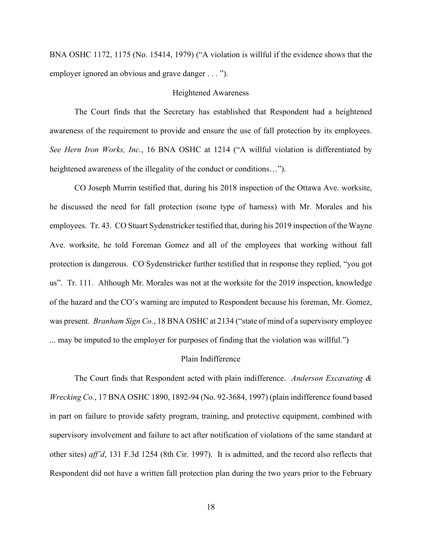BNA OSHC 1172, 1175 (No. 15414, 1979) ("A violation is willful if the evidence shows that the employer ignored an obvious and grave danger . . . ").

### Heightened Awareness

The Court finds that the Secretary has established that Respondent had a heightened awareness of the requirement to provide and ensure the use of fall protection by its employees. *See Hern Iron Works, Inc.*, 16 BNA OSHC at 1214 ("A willful violation is differentiated by heightened awareness of the illegality of the conduct or conditions...").

CO Joseph Murrin testified that, during his 2018 inspection of the Ottawa Ave. worksite, he discussed the need for fall protection (some type of harness) with Mr. Morales and his employees. Tr. 43. CO Stuart Sydenstricker testified that, during his 2019 inspection of the Wayne Ave. worksite, he told Foreman Gomez and all of the employees that working without fall protection is dangerous. CO Sydenstricker further testified that in response they replied, "you got us". Tr. 111. Although Mr. Morales was not at the worksite for the 2019 inspection, knowledge of the hazard and the CO's warning are imputed to Respondent because his foreman, Mr. Gomez, was present. *Branham Sign Co.*, 18 BNA OSHC at 2134 ("state of mind of a supervisory employee ... may be imputed to the employer for purposes of finding that the violation was willful.")

### Plain Indifference

The Court finds that Respondent acted with plain indifference. *Anderson Excavating & Wrecking Co.*, 17 BNA OSHC 1890, 1892-94 (No. 92-3684, 1997) (plain indifference found based in part on failure to provide safety program, training, and protective equipment, combined with supervisory involvement and failure to act after notification of violations of the same standard at other sites) *aff'd*, 131 F.3d 1254 (8th Cir. 1997). It is admitted, and the record also reflects that Respondent did not have a written fall protection plan during the two years prior to the February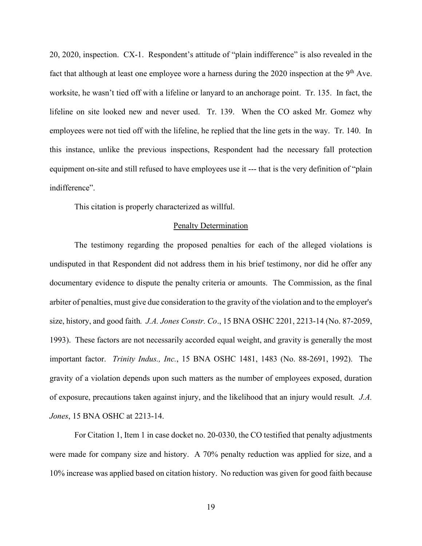20, 2020, inspection. CX-1. Respondent's attitude of "plain indifference" is also revealed in the fact that although at least one employee wore a harness during the 2020 inspection at the  $9<sup>th</sup>$  Ave. worksite, he wasn't tied off with a lifeline or lanyard to an anchorage point. Tr. 135. In fact, the lifeline on site looked new and never used. Tr. 139. When the CO asked Mr. Gomez why employees were not tied off with the lifeline, he replied that the line gets in the way. Tr. 140. In this instance, unlike the previous inspections, Respondent had the necessary fall protection equipment on-site and still refused to have employees use it --- that is the very definition of "plain indifference".

This citation is properly characterized as willful.

# Penalty Determination

The testimony regarding the proposed penalties for each of the alleged violations is undisputed in that Respondent did not address them in his brief testimony, nor did he offer any documentary evidence to dispute the penalty criteria or amounts. The Commission, as the final arbiter of penalties, must give due consideration to the gravity of the violation and to the employer's size, history, and good faith*. J.A. Jones Constr. Co*., 15 BNA OSHC 2201, 2213-14 (No. 87-2059, 1993). These factors are not necessarily accorded equal weight, and gravity is generally the most important factor. *Trinity Indus., Inc.*, 15 BNA OSHC 1481, 1483 (No. 88-2691, 1992). The gravity of a violation depends upon such matters as the number of employees exposed, duration of exposure, precautions taken against injury, and the likelihood that an injury would result*. J.A. Jones*, 15 BNA OSHC at 2213-14.

For Citation 1, Item 1 in case docket no. 20-0330, the CO testified that penalty adjustments were made for company size and history. A 70% penalty reduction was applied for size, and a 10% increase was applied based on citation history. No reduction was given for good faith because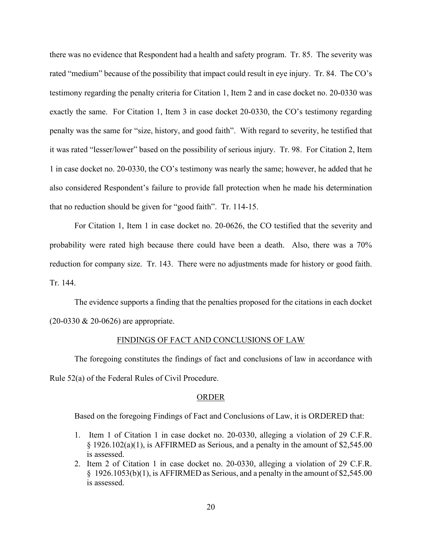there was no evidence that Respondent had a health and safety program. Tr. 85. The severity was rated "medium" because of the possibility that impact could result in eye injury. Tr. 84. The CO's testimony regarding the penalty criteria for Citation 1, Item 2 and in case docket no. 20-0330 was exactly the same. For Citation 1, Item 3 in case docket 20-0330, the CO's testimony regarding penalty was the same for "size, history, and good faith". With regard to severity, he testified that it was rated "lesser/lower" based on the possibility of serious injury. Tr. 98. For Citation 2, Item 1 in case docket no. 20-0330, the CO's testimony was nearly the same; however, he added that he also considered Respondent's failure to provide fall protection when he made his determination that no reduction should be given for "good faith". Tr. 114-15.

For Citation 1, Item 1 in case docket no. 20-0626, the CO testified that the severity and probability were rated high because there could have been a death. Also, there was a 70% reduction for company size. Tr. 143. There were no adjustments made for history or good faith. Tr. 144.

The evidence supports a finding that the penalties proposed for the citations in each docket (20-0330 & 20-0626) are appropriate.

#### FINDINGS OF FACT AND CONCLUSIONS OF LAW

The foregoing constitutes the findings of fact and conclusions of law in accordance with Rule 52(a) of the Federal Rules of Civil Procedure.

#### ORDER

Based on the foregoing Findings of Fact and Conclusions of Law, it is ORDERED that:

- 1. Item 1 of Citation 1 in case docket no. 20-0330, alleging a violation of 29 C.F.R. § 1926.102(a)(1), is AFFIRMED as Serious, and a penalty in the amount of \$2,545.00 is assessed.
- 2. Item 2 of Citation 1 in case docket no. 20-0330, alleging a violation of 29 C.F.R. § 1926.1053(b)(1), is AFFIRMED as Serious, and a penalty in the amount of \$2,545.00 is assessed.